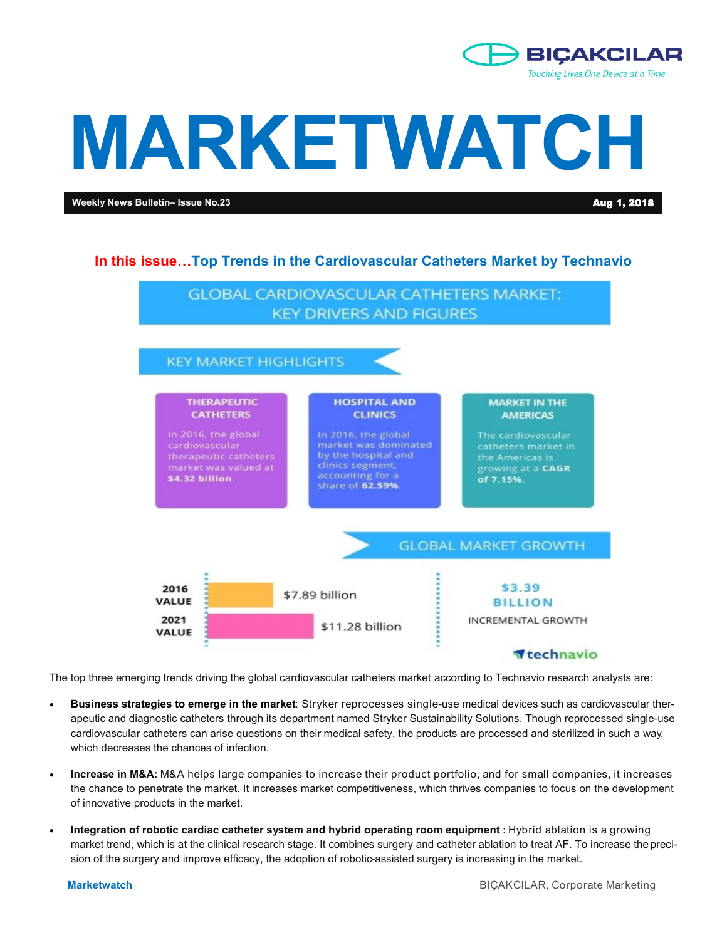

# **MARKETWATCH**

**Weekly News Bulletin– Issue No.23** Aug 1, 2018

### **In this issue…Top Trends in the Cardiovascular Catheters Market by Technavio**



The top three emerging trends driving the global cardiovascular catheters market according to Technavio research analysts are:

- **Business strategies to emerge in the market**: Stryker reprocesses single-use medical devices such as cardiovascular therapeutic and diagnostic catheters through its department named Stryker Sustainability Solutions. Though reprocessed single-use cardiovascular catheters can arise questions on their medical safety, the products are processed and sterilized in such a way, which decreases the chances of infection.
- **Increase in M&A:** M&A helps large companies to increase their product portfolio, and for small companies, it increases the chance to penetrate the market. It increases market competitiveness, which thrives companies to focus on the development of innovative products in the market.
- **Integration of robotic cardiac catheter system and hybrid operating room equipment : Hybrid ablation is a growing** market trend, which is at the clinical research stage. It combines surgery and catheter ablation to treat AF. To increase the precision of the surgery and improve efficacy, the adoption of robotic-assisted surgery is increasing in the market.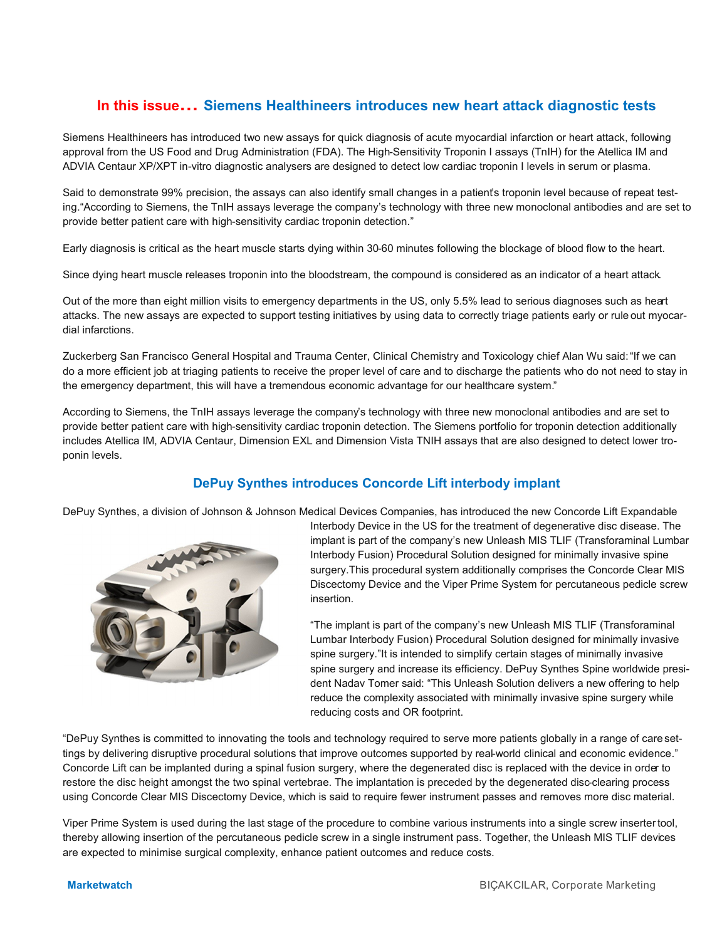# **In this issue… Siemens Healthineers introduces new heart attack diagnostic tests**

Siemens Healthineers has introduced two new assays for quick diagnosis of acute myocardial infarction or heart attack, following approval from the US Food and Drug Administration (FDA). The High-Sensitivity Troponin I assays (TnIH) for the Atellica IM and ADVIA Centaur XP/XPT in-vitro diagnostic analysers are designed to detect low cardiac troponin I levels in serum or plasma.

Said to demonstrate 99% precision, the assays can also identify small changes in a patient's troponin level because of repeat testing."According to Siemens, the TnIH assays leverage the company's technology with three new monoclonal antibodies and are set to provide better patient care with high-sensitivity cardiac troponin detection."

Early diagnosis is critical as the heart muscle starts dying within 30-60 minutes following the blockage of blood flow to the heart.

Since dying heart muscle releases troponin into the bloodstream, the compound is considered as an indicator of a heart attack.

Out of the more than eight million visits to emergency departments in the US, only 5.5% lead to serious diagnoses such as heart attacks. The new assays are expected to support testing initiatives by using data to correctly triage patients early or rule out myocardial infarctions.

Zuckerberg San Francisco General Hospital and Trauma Center, Clinical Chemistry and Toxicology chief Alan Wu said: "If we can do a more efficient job at triaging patients to receive the proper level of care and to discharge the patients who do not need to stay in the emergency department, this will have a tremendous economic advantage for our healthcare system."

According to Siemens, the TnIH assays leverage the company's technology with three new monoclonal antibodies and are set to provide better patient care with high-sensitivity cardiac troponin detection. The Siemens portfolio for troponin detection additionally includes Atellica IM, ADVIA Centaur, Dimension EXL and Dimension Vista TNIH assays that are also designed to detect lower troponin levels.

## **DePuy Synthes introduces Concorde Lift interbody implant**

DePuy Synthes, a division of Johnson & Johnson Medical Devices Companies, has introduced the new Concorde Lift Expandable



Interbody Device in the US for the treatment of degenerative disc disease. The implant is part of the company's new Unleash MIS TLIF (Transforaminal Lumbar Interbody Fusion) Procedural Solution designed for minimally invasive spine surgery.This procedural system additionally comprises the Concorde Clear MIS Discectomy Device and the Viper Prime System for percutaneous pedicle screw insertion.

"The implant is part of the company's new Unleash MIS TLIF (Transforaminal Lumbar Interbody Fusion) Procedural Solution designed for minimally invasive spine surgery."It is intended to simplify certain stages of minimally invasive spine surgery and increase its efficiency. DePuy Synthes Spine worldwide president Nadav Tomer said: "This Unleash Solution delivers a new offering to help reduce the complexity associated with minimally invasive spine surgery while reducing costs and OR footprint.

"DePuy Synthes is committed to innovating the tools and technology required to serve more patients globally in a range of caresettings by delivering disruptive procedural solutions that improve outcomes supported by real-world clinical and economic evidence." Concorde Lift can be implanted during a spinal fusion surgery, where the degenerated disc is replaced with the device in order to restore the disc height amongst the two spinal vertebrae. The implantation is preceded by the degenerated disc-clearing process using Concorde Clear MIS Discectomy Device, which is said to require fewer instrument passes and removes more disc material.

Viper Prime System is used during the last stage of the procedure to combine various instruments into a single screw insertertool, thereby allowing insertion of the percutaneous pedicle screw in a single instrument pass. Together, the Unleash MIS TLIF devices are expected to minimise surgical complexity, enhance patient outcomes and reduce costs.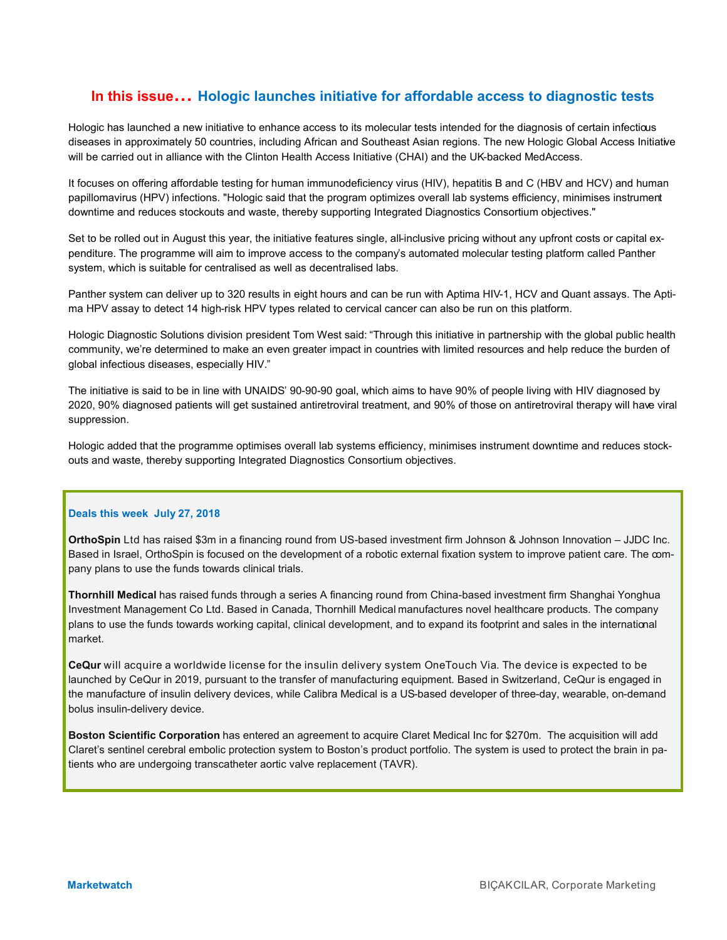### **In this issue… Hologic launches initiative for affordable access to diagnostic tests**

Hologic has launched a new initiative to enhance access to its molecular tests intended for the diagnosis of certain infectious diseases in approximately 50 countries, including African and Southeast Asian regions. The new Hologic Global Access Initiative will be carried out in alliance with the Clinton Health Access Initiative (CHAI) and the UK-backed MedAccess.

It focuses on offering affordable testing for human immunodeficiency virus (HIV), hepatitis B and C (HBV and HCV) and human papillomavirus (HPV) infections. "Hologic said that the program optimizes overall lab systems efficiency, minimises instrument downtime and reduces stockouts and waste, thereby supporting Integrated Diagnostics Consortium objectives."

Set to be rolled out in August this year, the initiative features single, all-inclusive pricing without any upfront costs or capital expenditure. The programme will aim to improve access to the company's automated molecular testing platform called Panther system, which is suitable for centralised as well as decentralised labs.

Panther system can deliver up to 320 results in eight hours and can be run with Aptima HIV-1, HCV and Quant assays. The Aptima HPV assay to detect 14 high-risk HPV types related to cervical cancer can also be run on this platform.

Hologic Diagnostic Solutions division president Tom West said: "Through this initiative in partnership with the global public health community, we're determined to make an even greater impact in countries with limited resources and help reduce the burden of global infectious diseases, especially HIV."

The initiative is said to be in line with UNAIDS' 90-90-90 goal, which aims to have 90% of people living with HIV diagnosed by 2020, 90% diagnosed patients will get sustained antiretroviral treatment, and 90% of those on antiretroviral therapy will have viral suppression.

Hologic added that the programme optimises overall lab systems efficiency, minimises instrument downtime and reduces stockouts and waste, thereby supporting Integrated Diagnostics Consortium objectives.

### **Deals this week July 27, 2018**

**OrthoSpin** Ltd has raised \$3m in a financing round from US-based investment firm Johnson & Johnson Innovation – JJDC Inc. Based in Israel, OrthoSpin is focused on the development of a robotic external fixation system to improve patient care. The company plans to use the funds towards clinical trials.

**Thornhill Medical** has raised funds through a series A financing round from China-based investment firm Shanghai Yonghua Investment Management Co Ltd. Based in Canada, Thornhill Medical manufactures novel healthcare products. The company plans to use the funds towards working capital, clinical development, and to expand its footprint and sales in the international market.

**CeQur** will acquire a worldwide license for the insulin delivery system OneTouch Via. The device is expected to be launched by CeQur in 2019, pursuant to the transfer of manufacturing equipment. Based in Switzerland, CeQur is engaged in the manufacture of insulin delivery devices, while Calibra Medical is a US-based developer of three-day, wearable, on-demand bolus insulin-delivery device.

**Boston Scientific Corporation** has entered an agreement to acquire Claret Medical Inc for \$270m. The acquisition will add Claret's sentinel cerebral embolic protection system to Boston's product portfolio. The system is used to protect the brain in patients who are undergoing transcatheter aortic valve replacement (TAVR).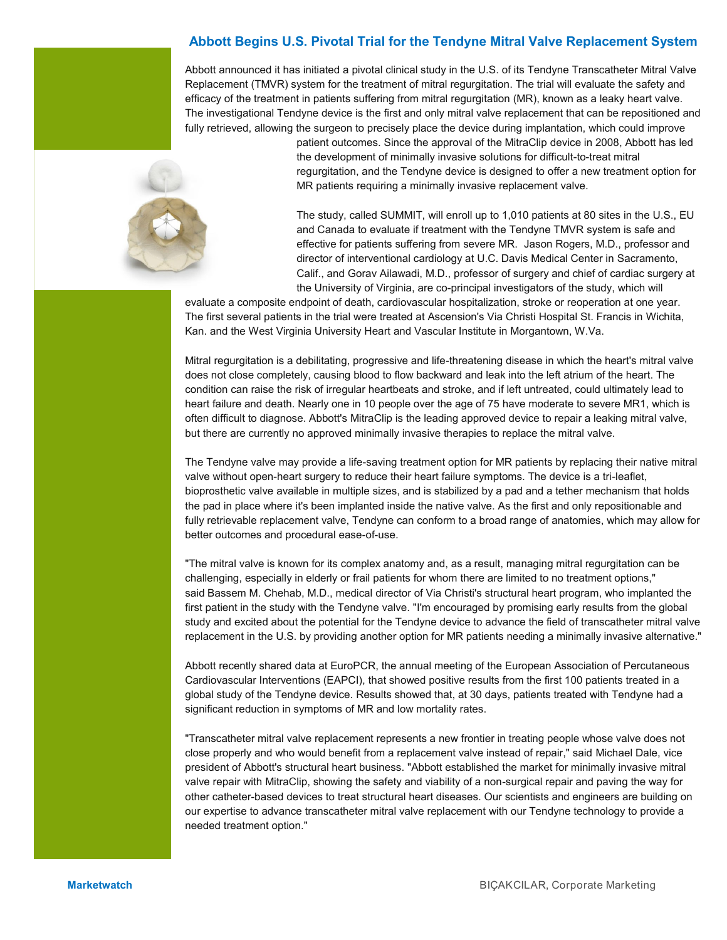### **Abbott Begins U.S. Pivotal Trial for the Tendyne Mitral Valve Replacement System**

Abbott announced it has initiated a pivotal clinical study in the U.S. of its Tendyne Transcatheter Mitral Valve Replacement (TMVR) system for the treatment of mitral regurgitation. The trial will evaluate the safety and efficacy of the treatment in patients suffering from mitral regurgitation (MR), known as a leaky heart valve. The investigational Tendyne device is the first and only mitral valve replacement that can be repositioned and fully retrieved, allowing the surgeon to precisely place the device during implantation, which could improve



patient outcomes. Since the approval of the MitraClip device in 2008, Abbott has led the development of minimally invasive solutions for difficult-to-treat mitral regurgitation, and the Tendyne device is designed to offer a new treatment option for MR patients requiring a minimally invasive replacement valve.

The study, called SUMMIT, will enroll up to 1,010 patients at 80 sites in the U.S., EU and Canada to evaluate if treatment with the Tendyne TMVR system is safe and effective for patients suffering from severe MR. Jason Rogers, M.D., professor and director of interventional cardiology at U.C. Davis Medical Center in Sacramento, Calif., and Gorav Ailawadi, M.D., professor of surgery and chief of cardiac surgery at the University of Virginia, are co-principal investigators of the study, which will

evaluate a composite endpoint of death, cardiovascular hospitalization, stroke or reoperation at one year. The first several patients in the trial were treated at Ascension's Via Christi Hospital St. Francis in Wichita, Kan. and the West Virginia University Heart and Vascular Institute in Morgantown, W.Va.

Mitral regurgitation is a debilitating, progressive and life-threatening disease in which the heart's mitral valve does not close completely, causing blood to flow backward and leak into the left atrium of the heart. The condition can raise the risk of irregular heartbeats and stroke, and if left untreated, could ultimately lead to heart failure and death. Nearly one in 10 people over the age of 75 have moderate to severe MR1, which is often difficult to diagnose. Abbott's MitraClip is the leading approved device to repair a leaking mitral valve, but there are currently no approved minimally invasive therapies to replace the mitral valve.

The Tendyne valve may provide a life-saving treatment option for MR patients by replacing their native mitral valve without open-heart surgery to reduce their heart failure symptoms. The device is a tri-leaflet, bioprosthetic valve available in multiple sizes, and is stabilized by a pad and a tether mechanism that holds the pad in place where it's been implanted inside the native valve. As the first and only repositionable and fully retrievable replacement valve, Tendyne can conform to a broad range of anatomies, which may allow for better outcomes and procedural ease-of-use.

"The mitral valve is known for its complex anatomy and, as a result, managing mitral regurgitation can be challenging, especially in elderly or frail patients for whom there are limited to no treatment options," said Bassem M. Chehab, M.D., medical director of Via Christi's structural heart program, who implanted the first patient in the study with the Tendyne valve. "I'm encouraged by promising early results from the global study and excited about the potential for the Tendyne device to advance the field of transcatheter mitral valve replacement in the U.S. by providing another option for MR patients needing a minimally invasive alternative."

Abbott recently shared data at EuroPCR, the annual meeting of the European Association of Percutaneous Cardiovascular Interventions (EAPCI), that showed positive results from the first 100 patients treated in a global study of the Tendyne device. Results showed that, at 30 days, patients treated with Tendyne had a significant reduction in symptoms of MR and low mortality rates.

"Transcatheter mitral valve replacement represents a new frontier in treating people whose valve does not close properly and who would benefit from a replacement valve instead of repair," said Michael Dale, vice president of Abbott's structural heart business. "Abbott established the market for minimally invasive mitral valve repair with MitraClip, showing the safety and viability of a non-surgical repair and paving the way for other catheter-based devices to treat structural heart diseases. Our scientists and engineers are building on our expertise to advance transcatheter mitral valve replacement with our Tendyne technology to provide a needed treatment option."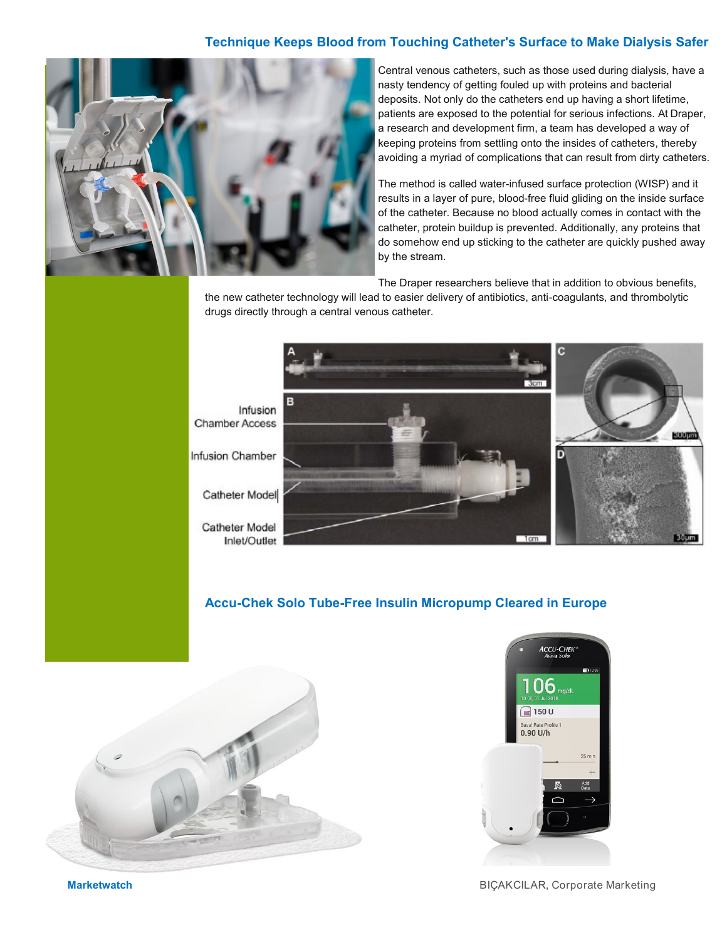### **Technique Keeps Blood from Touching Catheter's Surface to Make Dialysis Safer**



Central venous catheters, such as those used during dialysis, have a nasty tendency of getting fouled up with proteins and bacterial deposits. Not only do the catheters end up having a short lifetime, patients are exposed to the potential for serious infections. At Draper, a research and development firm, a team has developed a way of keeping proteins from settling onto the insides of catheters, thereby avoiding a myriad of complications that can result from dirty catheters.

The method is called water-infused surface protection (WISP) and it results in a layer of pure, blood-free fluid gliding on the inside surface of the catheter. Because no blood actually comes in contact with the catheter, protein buildup is prevented. Additionally, any proteins that do somehow end up sticking to the catheter are quickly pushed away by the stream.

The Draper researchers believe that in addition to obvious benefits,

the new catheter technology will lead to easier delivery of antibiotics, anti-coagulants, and thrombolytic drugs directly through a central venous catheter.



**Accu-Chek Solo Tube-Free Insulin Micropump Cleared in Europe**



**ACCU-CHEK** 06  $\sqrt{2}$  150 U  $0.90$  U/h  $25 \text{ mi}$ 

**Marketwatch** BIÇAKCILAR, Corporate Marketing